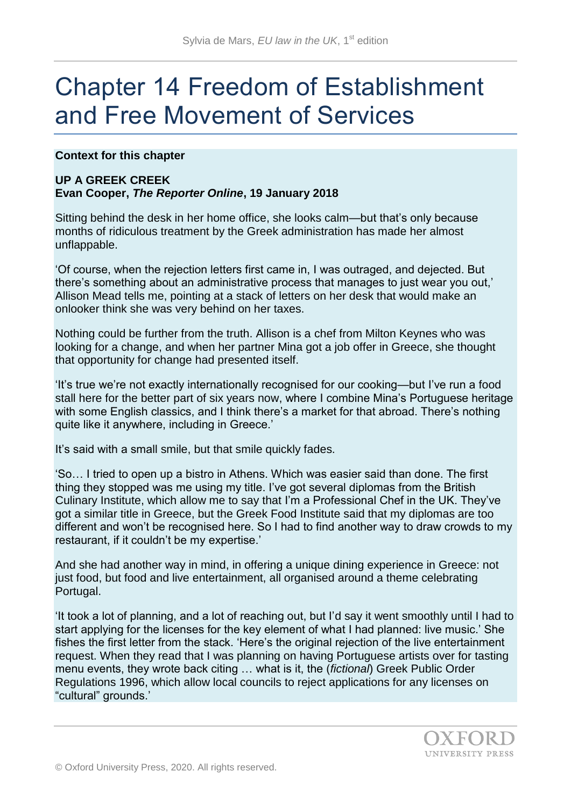# Chapter 14 Freedom of Establishment and Free Movement of Services

**Context for this chapter**

## **UP A GREEK CREEK**

## **Evan Cooper,** *The Reporter Online***, 19 January 2018**

Sitting behind the desk in her home office, she looks calm—but that's only because months of ridiculous treatment by the Greek administration has made her almost unflappable.

'Of course, when the rejection letters first came in, I was outraged, and dejected. But there's something about an administrative process that manages to just wear you out,' Allison Mead tells me, pointing at a stack of letters on her desk that would make an onlooker think she was very behind on her taxes.

Nothing could be further from the truth. Allison is a chef from Milton Keynes who was looking for a change, and when her partner Mina got a job offer in Greece, she thought that opportunity for change had presented itself.

'It's true we're not exactly internationally recognised for our cooking—but I've run a food stall here for the better part of six years now, where I combine Mina's Portuguese heritage with some English classics, and I think there's a market for that abroad. There's nothing quite like it anywhere, including in Greece.'

It's said with a small smile, but that smile quickly fades.

'So… I tried to open up a bistro in Athens. Which was easier said than done. The first thing they stopped was me using my title. I've got several diplomas from the British Culinary Institute, which allow me to say that I'm a Professional Chef in the UK. They've got a similar title in Greece, but the Greek Food Institute said that my diplomas are too different and won't be recognised here. So I had to find another way to draw crowds to my restaurant, if it couldn't be my expertise.'

And she had another way in mind, in offering a unique dining experience in Greece: not just food, but food and live entertainment, all organised around a theme celebrating Portugal.

'It took a lot of planning, and a lot of reaching out, but I'd say it went smoothly until I had to start applying for the licenses for the key element of what I had planned: live music.' She fishes the first letter from the stack. 'Here's the original rejection of the live entertainment request. When they read that I was planning on having Portuguese artists over for tasting menu events, they wrote back citing … what is it, the (*fictional*) Greek Public Order Regulations 1996, which allow local councils to reject applications for any licenses on "cultural" grounds.'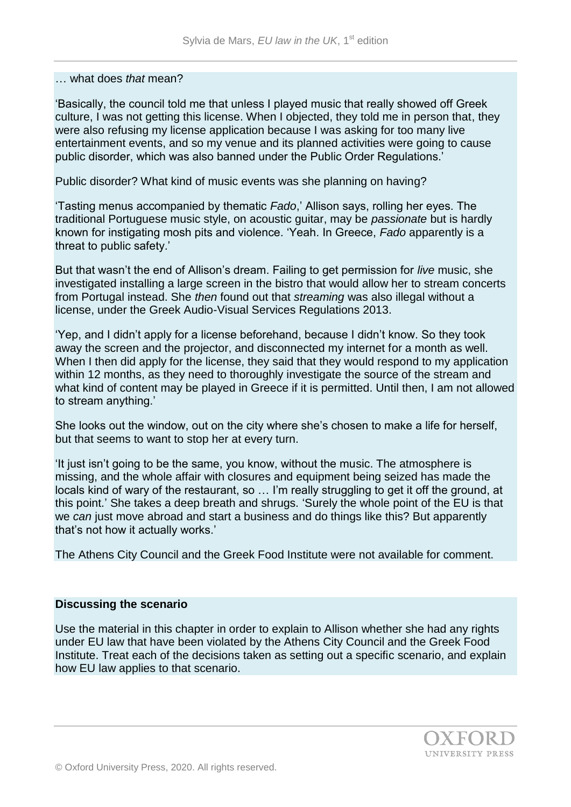#### … what does *that* mean?

'Basically, the council told me that unless I played music that really showed off Greek culture, I was not getting this license. When I objected, they told me in person that, they were also refusing my license application because I was asking for too many live entertainment events, and so my venue and its planned activities were going to cause public disorder, which was also banned under the Public Order Regulations.'

Public disorder? What kind of music events was she planning on having?

'Tasting menus accompanied by thematic *Fado*,' Allison says, rolling her eyes. The traditional Portuguese music style, on acoustic guitar, may be *passionate* but is hardly known for instigating mosh pits and violence. 'Yeah. In Greece, *Fado* apparently is a threat to public safety.'

But that wasn't the end of Allison's dream. Failing to get permission for *live* music, she investigated installing a large screen in the bistro that would allow her to stream concerts from Portugal instead. She *then* found out that *streaming* was also illegal without a license, under the Greek Audio-Visual Services Regulations 2013.

'Yep, and I didn't apply for a license beforehand, because I didn't know. So they took away the screen and the projector, and disconnected my internet for a month as well. When I then did apply for the license, they said that they would respond to my application within 12 months, as they need to thoroughly investigate the source of the stream and what kind of content may be played in Greece if it is permitted. Until then, I am not allowed to stream anything.'

She looks out the window, out on the city where she's chosen to make a life for herself, but that seems to want to stop her at every turn.

'It just isn't going to be the same, you know, without the music. The atmosphere is missing, and the whole affair with closures and equipment being seized has made the locals kind of wary of the restaurant, so … I'm really struggling to get it off the ground, at this point.' She takes a deep breath and shrugs. 'Surely the whole point of the EU is that we *can* just move abroad and start a business and do things like this? But apparently that's not how it actually works.'

The Athens City Council and the Greek Food Institute were not available for comment.

## **Discussing the scenario**

Use the material in this chapter in order to explain to Allison whether she had any rights under EU law that have been violated by the Athens City Council and the Greek Food Institute. Treat each of the decisions taken as setting out a specific scenario, and explain how EU law applies to that scenario.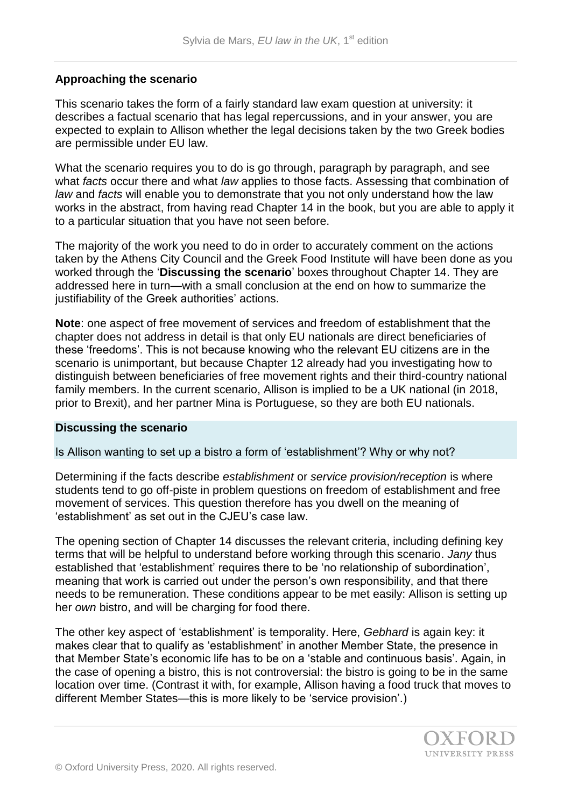## **Approaching the scenario**

This scenario takes the form of a fairly standard law exam question at university: it describes a factual scenario that has legal repercussions, and in your answer, you are expected to explain to Allison whether the legal decisions taken by the two Greek bodies are permissible under EU law.

What the scenario requires you to do is go through, paragraph by paragraph, and see what *facts* occur there and what *law* applies to those facts. Assessing that combination of *law* and *facts* will enable you to demonstrate that you not only understand how the law works in the abstract, from having read Chapter 14 in the book, but you are able to apply it to a particular situation that you have not seen before.

The majority of the work you need to do in order to accurately comment on the actions taken by the Athens City Council and the Greek Food Institute will have been done as you worked through the '**Discussing the scenario**' boxes throughout Chapter 14. They are addressed here in turn—with a small conclusion at the end on how to summarize the justifiability of the Greek authorities' actions.

**Note**: one aspect of free movement of services and freedom of establishment that the chapter does not address in detail is that only EU nationals are direct beneficiaries of these 'freedoms'. This is not because knowing who the relevant EU citizens are in the scenario is unimportant, but because Chapter 12 already had you investigating how to distinguish between beneficiaries of free movement rights and their third-country national family members. In the current scenario, Allison is implied to be a UK national (in 2018, prior to Brexit), and her partner Mina is Portuguese, so they are both EU nationals.

## **Discussing the scenario**

## Is Allison wanting to set up a bistro a form of 'establishment'? Why or why not?

Determining if the facts describe *establishment* or *service provision/reception* is where students tend to go off-piste in problem questions on freedom of establishment and free movement of services. This question therefore has you dwell on the meaning of 'establishment' as set out in the CJEU's case law.

The opening section of Chapter 14 discusses the relevant criteria, including defining key terms that will be helpful to understand before working through this scenario. *Jany* thus established that 'establishment' requires there to be 'no relationship of subordination', meaning that work is carried out under the person's own responsibility, and that there needs to be remuneration. These conditions appear to be met easily: Allison is setting up her *own* bistro, and will be charging for food there.

The other key aspect of 'establishment' is temporality. Here, *Gebhard* is again key: it makes clear that to qualify as 'establishment' in another Member State, the presence in that Member State's economic life has to be on a 'stable and continuous basis'. Again, in the case of opening a bistro, this is not controversial: the bistro is going to be in the same location over time. (Contrast it with, for example, Allison having a food truck that moves to different Member States—this is more likely to be 'service provision'.)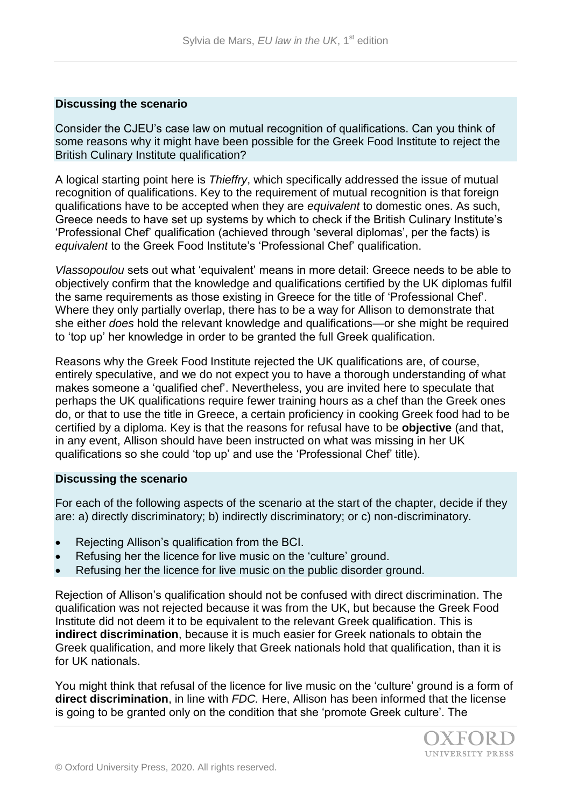## **Discussing the scenario**

Consider the CJEU's case law on mutual recognition of qualifications. Can you think of some reasons why it might have been possible for the Greek Food Institute to reject the British Culinary Institute qualification?

A logical starting point here is *Thieffry*, which specifically addressed the issue of mutual recognition of qualifications. Key to the requirement of mutual recognition is that foreign qualifications have to be accepted when they are *equivalent* to domestic ones. As such, Greece needs to have set up systems by which to check if the British Culinary Institute's 'Professional Chef' qualification (achieved through 'several diplomas', per the facts) is *equivalent* to the Greek Food Institute's 'Professional Chef' qualification.

*Vlassopoulou* sets out what 'equivalent' means in more detail: Greece needs to be able to objectively confirm that the knowledge and qualifications certified by the UK diplomas fulfil the same requirements as those existing in Greece for the title of 'Professional Chef'. Where they only partially overlap, there has to be a way for Allison to demonstrate that she either *does* hold the relevant knowledge and qualifications—or she might be required to 'top up' her knowledge in order to be granted the full Greek qualification.

Reasons why the Greek Food Institute rejected the UK qualifications are, of course, entirely speculative, and we do not expect you to have a thorough understanding of what makes someone a 'qualified chef'. Nevertheless, you are invited here to speculate that perhaps the UK qualifications require fewer training hours as a chef than the Greek ones do, or that to use the title in Greece, a certain proficiency in cooking Greek food had to be certified by a diploma. Key is that the reasons for refusal have to be **objective** (and that, in any event, Allison should have been instructed on what was missing in her UK qualifications so she could 'top up' and use the 'Professional Chef' title).

## **Discussing the scenario**

For each of the following aspects of the scenario at the start of the chapter, decide if they are: a) directly discriminatory; b) indirectly discriminatory; or c) non-discriminatory.

- Rejecting Allison's qualification from the BCI.
- Refusing her the licence for live music on the 'culture' ground.
- Refusing her the licence for live music on the public disorder ground.

Rejection of Allison's qualification should not be confused with direct discrimination. The qualification was not rejected because it was from the UK, but because the Greek Food Institute did not deem it to be equivalent to the relevant Greek qualification. This is **indirect discrimination**, because it is much easier for Greek nationals to obtain the Greek qualification, and more likely that Greek nationals hold that qualification, than it is for UK nationals.

You might think that refusal of the licence for live music on the 'culture' ground is a form of **direct discrimination**, in line with *FDC.* Here, Allison has been informed that the license is going to be granted only on the condition that she 'promote Greek culture'. The

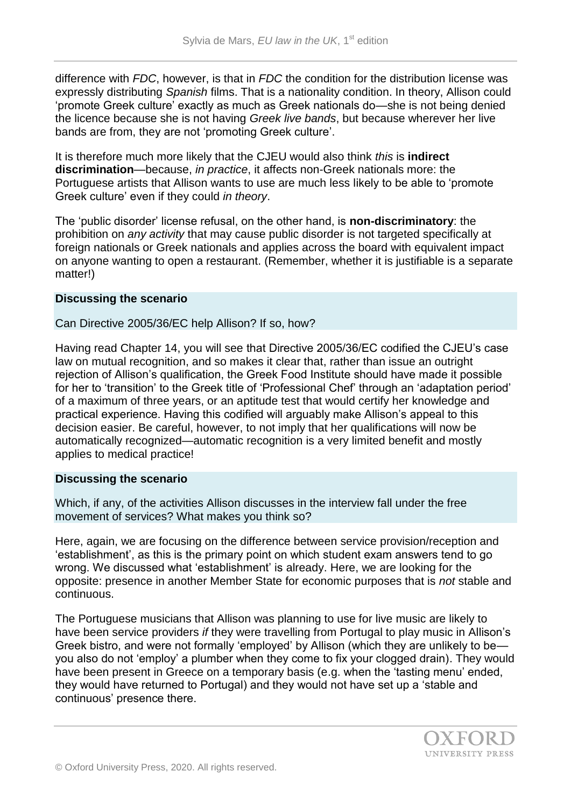difference with *FDC*, however, is that in *FDC* the condition for the distribution license was expressly distributing *Spanish* films. That is a nationality condition. In theory, Allison could 'promote Greek culture' exactly as much as Greek nationals do—she is not being denied the licence because she is not having *Greek live bands*, but because wherever her live bands are from, they are not 'promoting Greek culture'.

It is therefore much more likely that the CJEU would also think *this* is **indirect discrimination**—because, *in practice*, it affects non-Greek nationals more: the Portuguese artists that Allison wants to use are much less likely to be able to 'promote Greek culture' even if they could *in theory*.

The 'public disorder' license refusal, on the other hand, is **non-discriminatory**: the prohibition on *any activity* that may cause public disorder is not targeted specifically at foreign nationals or Greek nationals and applies across the board with equivalent impact on anyone wanting to open a restaurant. (Remember, whether it is justifiable is a separate matter!)

## **Discussing the scenario**

Can Directive 2005/36/EC help Allison? If so, how?

Having read Chapter 14, you will see that Directive 2005/36/EC codified the CJEU's case law on mutual recognition, and so makes it clear that, rather than issue an outright rejection of Allison's qualification, the Greek Food Institute should have made it possible for her to 'transition' to the Greek title of 'Professional Chef' through an 'adaptation period' of a maximum of three years, or an aptitude test that would certify her knowledge and practical experience. Having this codified will arguably make Allison's appeal to this decision easier. Be careful, however, to not imply that her qualifications will now be automatically recognized—automatic recognition is a very limited benefit and mostly applies to medical practice!

## **Discussing the scenario**

Which, if any, of the activities Allison discusses in the interview fall under the free movement of services? What makes you think so?

Here, again, we are focusing on the difference between service provision/reception and 'establishment', as this is the primary point on which student exam answers tend to go wrong. We discussed what 'establishment' is already. Here, we are looking for the opposite: presence in another Member State for economic purposes that is *not* stable and continuous.

The Portuguese musicians that Allison was planning to use for live music are likely to have been service providers *if* they were travelling from Portugal to play music in Allison's Greek bistro, and were not formally 'employed' by Allison (which they are unlikely to be you also do not 'employ' a plumber when they come to fix your clogged drain). They would have been present in Greece on a temporary basis (e.g. when the 'tasting menu' ended, they would have returned to Portugal) and they would not have set up a 'stable and continuous' presence there.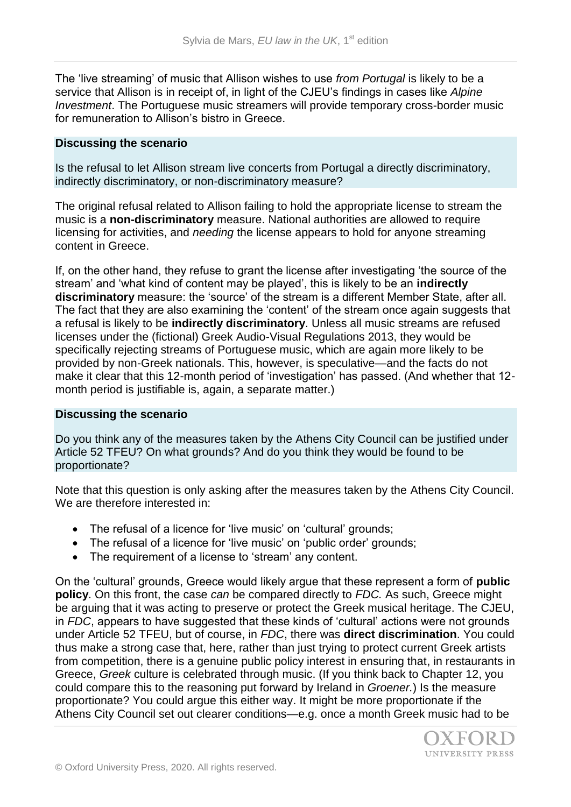The 'live streaming' of music that Allison wishes to use *from Portugal* is likely to be a service that Allison is in receipt of, in light of the CJEU's findings in cases like *Alpine Investment*. The Portuguese music streamers will provide temporary cross-border music for remuneration to Allison's bistro in Greece.

#### **Discussing the scenario**

Is the refusal to let Allison stream live concerts from Portugal a directly discriminatory, indirectly discriminatory, or non-discriminatory measure?

The original refusal related to Allison failing to hold the appropriate license to stream the music is a **non-discriminatory** measure. National authorities are allowed to require licensing for activities, and *needing* the license appears to hold for anyone streaming content in Greece.

If, on the other hand, they refuse to grant the license after investigating 'the source of the stream' and 'what kind of content may be played', this is likely to be an **indirectly discriminatory** measure: the 'source' of the stream is a different Member State, after all. The fact that they are also examining the 'content' of the stream once again suggests that a refusal is likely to be **indirectly discriminatory**. Unless all music streams are refused licenses under the (fictional) Greek Audio-Visual Regulations 2013, they would be specifically rejecting streams of Portuguese music, which are again more likely to be provided by non-Greek nationals. This, however, is speculative—and the facts do not make it clear that this 12-month period of 'investigation' has passed. (And whether that 12 month period is justifiable is, again, a separate matter.)

## **Discussing the scenario**

Do you think any of the measures taken by the Athens City Council can be justified under Article 52 TFEU? On what grounds? And do you think they would be found to be proportionate?

Note that this question is only asking after the measures taken by the Athens City Council. We are therefore interested in:

- The refusal of a licence for 'live music' on 'cultural' grounds;
- The refusal of a licence for 'live music' on 'public order' grounds;
- The requirement of a license to 'stream' any content.

On the 'cultural' grounds, Greece would likely argue that these represent a form of **public policy**. On this front, the case *can* be compared directly to *FDC.* As such, Greece might be arguing that it was acting to preserve or protect the Greek musical heritage. The CJEU, in *FDC*, appears to have suggested that these kinds of 'cultural' actions were not grounds under Article 52 TFEU, but of course, in *FDC*, there was **direct discrimination**. You could thus make a strong case that, here, rather than just trying to protect current Greek artists from competition, there is a genuine public policy interest in ensuring that, in restaurants in Greece, *Greek* culture is celebrated through music. (If you think back to Chapter 12, you could compare this to the reasoning put forward by Ireland in *Groener.*) Is the measure proportionate? You could argue this either way. It might be more proportionate if the Athens City Council set out clearer conditions—e.g. once a month Greek music had to be

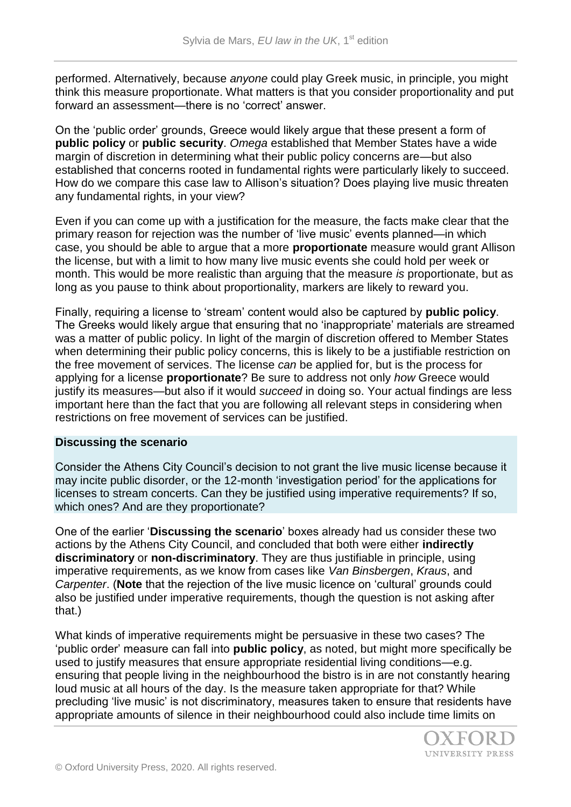performed. Alternatively, because *anyone* could play Greek music, in principle, you might think this measure proportionate. What matters is that you consider proportionality and put forward an assessment—there is no 'correct' answer.

On the 'public order' grounds, Greece would likely argue that these present a form of **public policy** or **public security**. *Omega* established that Member States have a wide margin of discretion in determining what their public policy concerns are—but also established that concerns rooted in fundamental rights were particularly likely to succeed. How do we compare this case law to Allison's situation? Does playing live music threaten any fundamental rights, in your view?

Even if you can come up with a justification for the measure, the facts make clear that the primary reason for rejection was the number of 'live music' events planned—in which case, you should be able to argue that a more **proportionate** measure would grant Allison the license, but with a limit to how many live music events she could hold per week or month. This would be more realistic than arguing that the measure *is* proportionate, but as long as you pause to think about proportionality, markers are likely to reward you.

Finally, requiring a license to 'stream' content would also be captured by **public policy**. The Greeks would likely argue that ensuring that no 'inappropriate' materials are streamed was a matter of public policy. In light of the margin of discretion offered to Member States when determining their public policy concerns, this is likely to be a justifiable restriction on the free movement of services. The license *can* be applied for, but is the process for applying for a license **proportionate**? Be sure to address not only *how* Greece would justify its measures—but also if it would *succeed* in doing so. Your actual findings are less important here than the fact that you are following all relevant steps in considering when restrictions on free movement of services can be justified.

## **Discussing the scenario**

Consider the Athens City Council's decision to not grant the live music license because it may incite public disorder, or the 12-month 'investigation period' for the applications for licenses to stream concerts. Can they be justified using imperative requirements? If so, which ones? And are they proportionate?

One of the earlier '**Discussing the scenario**' boxes already had us consider these two actions by the Athens City Council, and concluded that both were either **indirectly discriminatory** or **non-discriminatory**. They are thus justifiable in principle, using imperative requirements, as we know from cases like *Van Binsbergen*, *Kraus*, and *Carpenter*. (**Note** that the rejection of the live music licence on 'cultural' grounds could also be justified under imperative requirements, though the question is not asking after that.)

What kinds of imperative requirements might be persuasive in these two cases? The 'public order' measure can fall into **public policy**, as noted, but might more specifically be used to justify measures that ensure appropriate residential living conditions—e.g. ensuring that people living in the neighbourhood the bistro is in are not constantly hearing loud music at all hours of the day. Is the measure taken appropriate for that? While precluding 'live music' is not discriminatory, measures taken to ensure that residents have appropriate amounts of silence in their neighbourhood could also include time limits on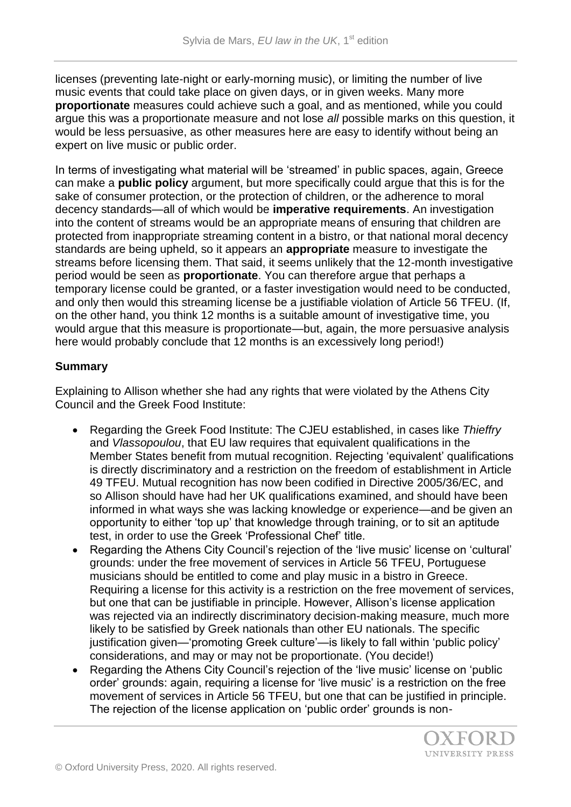licenses (preventing late-night or early-morning music), or limiting the number of live music events that could take place on given days, or in given weeks. Many more **proportionate** measures could achieve such a goal, and as mentioned, while you could argue this was a proportionate measure and not lose *all* possible marks on this question, it would be less persuasive, as other measures here are easy to identify without being an expert on live music or public order.

In terms of investigating what material will be 'streamed' in public spaces, again, Greece can make a **public policy** argument, but more specifically could argue that this is for the sake of consumer protection, or the protection of children, or the adherence to moral decency standards—all of which would be **imperative requirements**. An investigation into the content of streams would be an appropriate means of ensuring that children are protected from inappropriate streaming content in a bistro, or that national moral decency standards are being upheld, so it appears an **appropriate** measure to investigate the streams before licensing them. That said, it seems unlikely that the 12-month investigative period would be seen as **proportionate**. You can therefore argue that perhaps a temporary license could be granted, or a faster investigation would need to be conducted, and only then would this streaming license be a justifiable violation of Article 56 TFEU. (If, on the other hand, you think 12 months is a suitable amount of investigative time, you would argue that this measure is proportionate—but, again, the more persuasive analysis here would probably conclude that 12 months is an excessively long period!)

# **Summary**

Explaining to Allison whether she had any rights that were violated by the Athens City Council and the Greek Food Institute:

- Regarding the Greek Food Institute: The CJEU established, in cases like *Thieffry*  and *Vlassopoulou*, that EU law requires that equivalent qualifications in the Member States benefit from mutual recognition. Rejecting 'equivalent' qualifications is directly discriminatory and a restriction on the freedom of establishment in Article 49 TFEU. Mutual recognition has now been codified in Directive 2005/36/EC, and so Allison should have had her UK qualifications examined, and should have been informed in what ways she was lacking knowledge or experience—and be given an opportunity to either 'top up' that knowledge through training, or to sit an aptitude test, in order to use the Greek 'Professional Chef' title.
- Regarding the Athens City Council's rejection of the 'live music' license on 'cultural' grounds: under the free movement of services in Article 56 TFEU, Portuguese musicians should be entitled to come and play music in a bistro in Greece. Requiring a license for this activity is a restriction on the free movement of services, but one that can be justifiable in principle. However, Allison's license application was rejected via an indirectly discriminatory decision-making measure, much more likely to be satisfied by Greek nationals than other EU nationals. The specific justification given—'promoting Greek culture'—is likely to fall within 'public policy' considerations, and may or may not be proportionate. (You decide!)
- Regarding the Athens City Council's rejection of the 'live music' license on 'public order' grounds: again, requiring a license for 'live music' is a restriction on the free movement of services in Article 56 TFEU, but one that can be justified in principle. The rejection of the license application on 'public order' grounds is non-